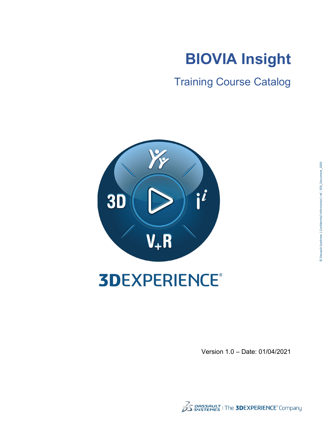

Training Course Catalog



# **3DEXPERIENCE®**

Version 1.0 – Date: 01/04/2021

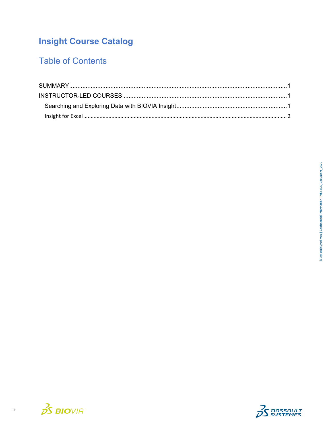# **Insight Course Catalog**

# **Table of Contents**



 $\overline{\textbf{H}}$ 

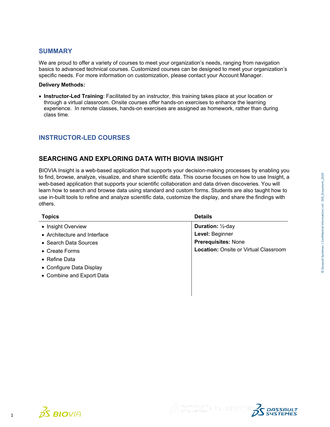### <span id="page-2-0"></span>**SUMMARY**

We are proud to offer a variety of courses to meet your organization's needs, ranging from navigation basics to advanced technical courses. Customized courses can be designed to meet your organization's specific needs. For more information on customization, please contact your Account Manager.

#### **Delivery Methods:**

<span id="page-2-1"></span>• **Instructor-Led Training**: Facilitated by an instructor, this training takes place at your location or through a virtual classroom. Onsite courses offer hands-on exercises to enhance the learning experience. In remote classes, hands-on exercises are assigned as homework, rather than during class time.

## **INSTRUCTOR-LED COURSES**

## <span id="page-2-2"></span>**SEARCHING AND EXPLORING DATA WITH BIOVIA INSIGHT**

BIOVIA Insight is a web-based application that supports your decision-making processes by enabling you to find, browse, analyze, visualize, and share scientific data. This course focuses on how to use Insight, a web-based application that supports your scientific collaboration and data driven discoveries. You will learn how to search and browse data using standard and custom forms. Students are also taught how to use in-built tools to refine and analyze scientific data, customize the display, and share the findings with others.

<span id="page-2-3"></span>

| <b>Topics</b>                | <b>Details</b>                               |
|------------------------------|----------------------------------------------|
| • Insight Overview           | <b>Duration:</b> 1/2-day                     |
| • Architecture and Interface | Level: Beginner                              |
| • Search Data Sources        | <b>Prerequisites: None</b>                   |
| • Create Forms               | <b>Location: Onsite or Virtual Classroom</b> |
| $\bullet$ Refine Data        |                                              |
| • Configure Data Display     |                                              |
| • Combine and Export Data    |                                              |
|                              |                                              |
|                              |                                              |